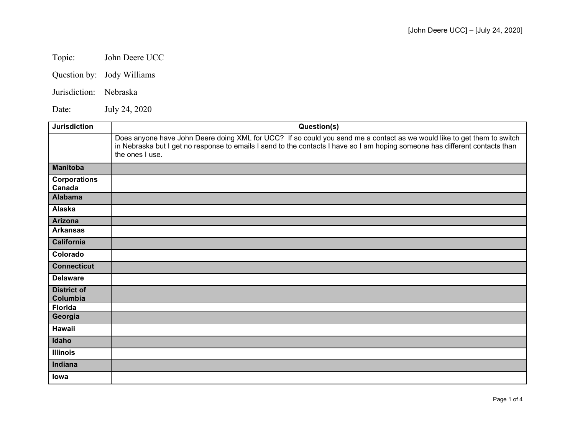Topic: John Deere UCC

Question by: Jody Williams

Jurisdiction: Nebraska

Date: July 24, 2020

| <b>Jurisdiction</b>            | Question(s)                                                                                                                                                                                                                                                                |
|--------------------------------|----------------------------------------------------------------------------------------------------------------------------------------------------------------------------------------------------------------------------------------------------------------------------|
|                                | Does anyone have John Deere doing XML for UCC? If so could you send me a contact as we would like to get them to switch<br>in Nebraska but I get no response to emails I send to the contacts I have so I am hoping someone has different contacts than<br>the ones I use. |
| <b>Manitoba</b>                |                                                                                                                                                                                                                                                                            |
| <b>Corporations</b><br>Canada  |                                                                                                                                                                                                                                                                            |
| <b>Alabama</b>                 |                                                                                                                                                                                                                                                                            |
| Alaska                         |                                                                                                                                                                                                                                                                            |
| <b>Arizona</b>                 |                                                                                                                                                                                                                                                                            |
| <b>Arkansas</b>                |                                                                                                                                                                                                                                                                            |
| <b>California</b>              |                                                                                                                                                                                                                                                                            |
| Colorado                       |                                                                                                                                                                                                                                                                            |
| <b>Connecticut</b>             |                                                                                                                                                                                                                                                                            |
| <b>Delaware</b>                |                                                                                                                                                                                                                                                                            |
| <b>District of</b><br>Columbia |                                                                                                                                                                                                                                                                            |
| <b>Florida</b>                 |                                                                                                                                                                                                                                                                            |
| Georgia                        |                                                                                                                                                                                                                                                                            |
| <b>Hawaii</b>                  |                                                                                                                                                                                                                                                                            |
| Idaho                          |                                                                                                                                                                                                                                                                            |
| <b>Illinois</b>                |                                                                                                                                                                                                                                                                            |
| Indiana                        |                                                                                                                                                                                                                                                                            |
| lowa                           |                                                                                                                                                                                                                                                                            |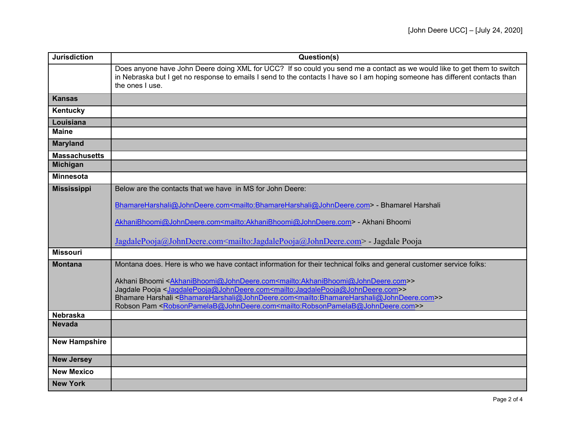| <b>Jurisdiction</b>  | Question(s)                                                                                                                                                                                                                                                                |
|----------------------|----------------------------------------------------------------------------------------------------------------------------------------------------------------------------------------------------------------------------------------------------------------------------|
|                      | Does anyone have John Deere doing XML for UCC? If so could you send me a contact as we would like to get them to switch<br>in Nebraska but I get no response to emails I send to the contacts I have so I am hoping someone has different contacts than<br>the ones I use. |
| <b>Kansas</b>        |                                                                                                                                                                                                                                                                            |
| Kentucky             |                                                                                                                                                                                                                                                                            |
| Louisiana            |                                                                                                                                                                                                                                                                            |
| <b>Maine</b>         |                                                                                                                                                                                                                                                                            |
| <b>Maryland</b>      |                                                                                                                                                                                                                                                                            |
| <b>Massachusetts</b> |                                                                                                                                                                                                                                                                            |
| <b>Michigan</b>      |                                                                                                                                                                                                                                                                            |
| <b>Minnesota</b>     |                                                                                                                                                                                                                                                                            |
| <b>Mississippi</b>   | Below are the contacts that we have in MS for John Deere:                                                                                                                                                                                                                  |
|                      | BhamareHarshali@JohnDeere.com <mailto:bhamareharshali@johndeere.com> - Bhamarel Harshali</mailto:bhamareharshali@johndeere.com>                                                                                                                                            |
|                      |                                                                                                                                                                                                                                                                            |
|                      | AkhaniBhoomi@JohnDeere.com <mailto:akhanibhoomi@johndeere.com> - Akhani Bhoomi</mailto:akhanibhoomi@johndeere.com>                                                                                                                                                         |
|                      |                                                                                                                                                                                                                                                                            |
|                      | JagdalePooja@JohnDeere.com <mailto:jagdalepooja@johndeere.com> - Jagdale Pooja</mailto:jagdalepooja@johndeere.com>                                                                                                                                                         |
| <b>Missouri</b>      |                                                                                                                                                                                                                                                                            |
| <b>Montana</b>       | Montana does. Here is who we have contact information for their technical folks and general customer service folks:                                                                                                                                                        |
|                      | Akhani Bhoomi <akhanibhoomi@johndeere.com<mailto:akhanibhoomi@johndeere.com>&gt;</akhanibhoomi@johndeere.com<mailto:akhanibhoomi@johndeere.com>                                                                                                                            |
|                      | Jagdale Pooja <jagdalepooja@johndeere.com<mailto:jagdalepooja@johndeere.com>&gt;</jagdalepooja@johndeere.com<mailto:jagdalepooja@johndeere.com>                                                                                                                            |
|                      | Bhamare Harshali <bhamareharshali@johndeere.com<mailto:bhamareharshali@johndeere.com>&gt;</bhamareharshali@johndeere.com<mailto:bhamareharshali@johndeere.com>                                                                                                             |
|                      | Robson Pam <robsonpamelab@johndeere.com<mailto:robsonpamelab@johndeere.com>&gt;</robsonpamelab@johndeere.com<mailto:robsonpamelab@johndeere.com>                                                                                                                           |
| <b>Nebraska</b>      |                                                                                                                                                                                                                                                                            |
| <b>Nevada</b>        |                                                                                                                                                                                                                                                                            |
| <b>New Hampshire</b> |                                                                                                                                                                                                                                                                            |
|                      |                                                                                                                                                                                                                                                                            |
| <b>New Jersey</b>    |                                                                                                                                                                                                                                                                            |
| <b>New Mexico</b>    |                                                                                                                                                                                                                                                                            |
| <b>New York</b>      |                                                                                                                                                                                                                                                                            |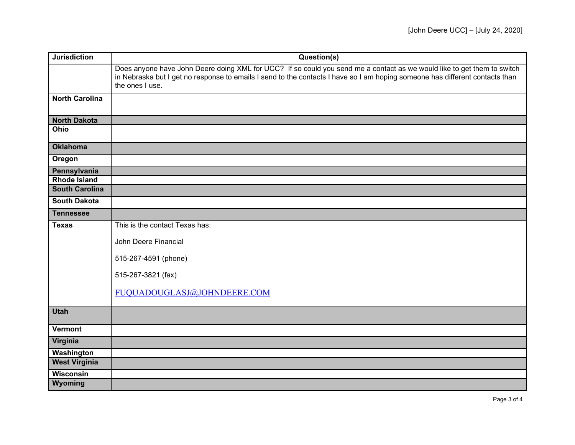| <b>Jurisdiction</b>   | Question(s)                                                                                                                                                                                                                                                                |
|-----------------------|----------------------------------------------------------------------------------------------------------------------------------------------------------------------------------------------------------------------------------------------------------------------------|
|                       | Does anyone have John Deere doing XML for UCC? If so could you send me a contact as we would like to get them to switch<br>in Nebraska but I get no response to emails I send to the contacts I have so I am hoping someone has different contacts than<br>the ones I use. |
| <b>North Carolina</b> |                                                                                                                                                                                                                                                                            |
| <b>North Dakota</b>   |                                                                                                                                                                                                                                                                            |
| Ohio                  |                                                                                                                                                                                                                                                                            |
| <b>Oklahoma</b>       |                                                                                                                                                                                                                                                                            |
| Oregon                |                                                                                                                                                                                                                                                                            |
| Pennsylvania          |                                                                                                                                                                                                                                                                            |
| <b>Rhode Island</b>   |                                                                                                                                                                                                                                                                            |
| <b>South Carolina</b> |                                                                                                                                                                                                                                                                            |
| <b>South Dakota</b>   |                                                                                                                                                                                                                                                                            |
| <b>Tennessee</b>      |                                                                                                                                                                                                                                                                            |
| <b>Texas</b>          | This is the contact Texas has:                                                                                                                                                                                                                                             |
|                       | John Deere Financial                                                                                                                                                                                                                                                       |
|                       | 515-267-4591 (phone)                                                                                                                                                                                                                                                       |
|                       | 515-267-3821 (fax)                                                                                                                                                                                                                                                         |
|                       | FUQUADOUGLASJ@JOHNDEERE.COM                                                                                                                                                                                                                                                |
| <b>Utah</b>           |                                                                                                                                                                                                                                                                            |
| Vermont               |                                                                                                                                                                                                                                                                            |
| Virginia              |                                                                                                                                                                                                                                                                            |
| Washington            |                                                                                                                                                                                                                                                                            |
| <b>West Virginia</b>  |                                                                                                                                                                                                                                                                            |
| <b>Wisconsin</b>      |                                                                                                                                                                                                                                                                            |
| Wyoming               |                                                                                                                                                                                                                                                                            |